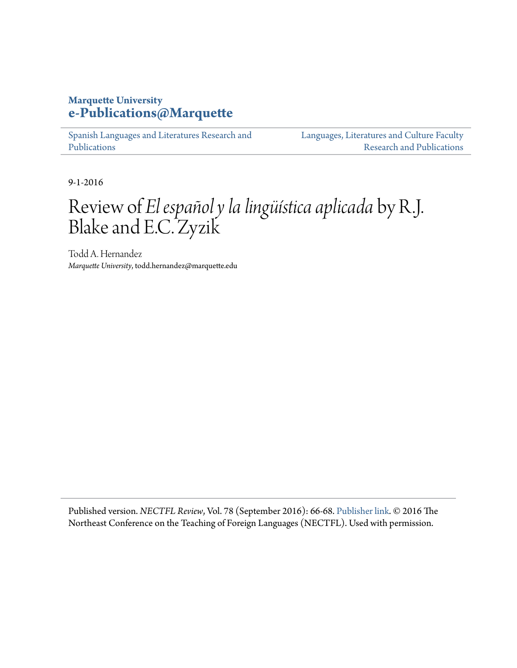## **Marquette University [e-Publications@Marquette](https://epublications.marquette.edu)**

[Spanish Languages and Literatures Research and](https://epublications.marquette.edu/span_fac) [Publications](https://epublications.marquette.edu/span_fac)

[Languages, Literatures and Culture Faculty](https://epublications.marquette.edu/fola_fac) [Research and Publications](https://epublications.marquette.edu/fola_fac)

9-1-2016

## Review of *El español y la lingüística aplicada* by R.J. Blake and E.C. Zyzik

Todd A. Hernandez *Marquette University*, todd.hernandez@marquette.edu

Published version. *NECTFL Review*, Vol. 78 (September 2016): 66-68. [Publisher link.](http://www.nectfl.org/nectfl-review/) © 2016 The Northeast Conference on the Teaching of Foreign Languages (NECTFL). Used with permission.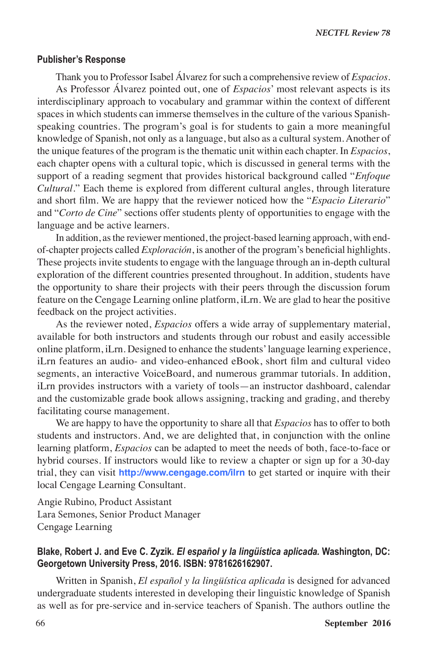## **Blake, Robert J. and Eve C. Zyzik.** *El español y la lingüística aplicada.* **Washington, DC: Georgetown University Press, 2016. ISBN: 9781626162907.**

Written in Spanish, *El español y la lingüística aplicada* is designed for advanced undergraduate students interested in developing their linguistic knowledge of Spanish as well as for pre-service and in-service teachers of Spanish. The authors outline the

66 **September 2016**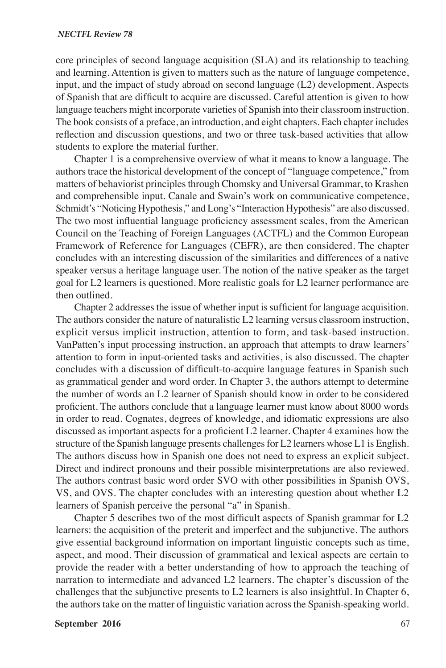## *NECTFL Review 78*

core principles of second language acquisition (SLA) and its relationship to teaching and learning. Attention is given to matters such as the nature of language competence, input, and the impact of study abroad on second language (L2) development. Aspects of Spanish that are difficult to acquire are discussed. Careful attention is given to how language teachers might incorporate varieties of Spanish into their classroom instruction. The book consists of a preface, an introduction, and eight chapters. Each chapter includes reflection and discussion questions, and two or three task-based activities that allow students to explore the material further.

Chapter 1 is a comprehensive overview of what it means to know a language. The authors trace the historical development of the concept of "language competence," from matters of behaviorist principles through Chomsky and Universal Grammar, to Krashen and comprehensible input. Canale and Swain's work on communicative competence, Schmidt's "Noticing Hypothesis," and Long's "Interaction Hypothesis" are also discussed. The two most influential language proficiency assessment scales, from the American Council on the Teaching of Foreign Languages (ACTFL) and the Common European Framework of Reference for Languages (CEFR), are then considered. The chapter concludes with an interesting discussion of the similarities and differences of a native speaker versus a heritage language user. The notion of the native speaker as the target goal for L2 learners is questioned. More realistic goals for L2 learner performance are then outlined.

Chapter 2 addresses the issue of whether input is sufficient for language acquisition. The authors consider the nature of naturalistic L2 learning versus classroom instruction, explicit versus implicit instruction, attention to form, and task-based instruction. VanPatten's input processing instruction, an approach that attempts to draw learners' attention to form in input-oriented tasks and activities, is also discussed. The chapter concludes with a discussion of difficult-to-acquire language features in Spanish such as grammatical gender and word order. In Chapter 3, the authors attempt to determine the number of words an L2 learner of Spanish should know in order to be considered proficient. The authors conclude that a language learner must know about 8000 words in order to read. Cognates, degrees of knowledge, and idiomatic expressions are also discussed as important aspects for a proficient L2 learner. Chapter 4 examines how the structure of the Spanish language presents challenges for L2 learners whose L1 is English. The authors discuss how in Spanish one does not need to express an explicit subject. Direct and indirect pronouns and their possible misinterpretations are also reviewed. The authors contrast basic word order SVO with other possibilities in Spanish OVS, VS, and OVS. The chapter concludes with an interesting question about whether L2 learners of Spanish perceive the personal "a" in Spanish.

Chapter 5 describes two of the most difficult aspects of Spanish grammar for L2 learners: the acquisition of the preterit and imperfect and the subjunctive. The authors give essential background information on important linguistic concepts such as time, aspect, and mood. Their discussion of grammatical and lexical aspects are certain to provide the reader with a better understanding of how to approach the teaching of narration to intermediate and advanced L2 learners. The chapter's discussion of the challenges that the subjunctive presents to L2 learners is also insightful. In Chapter 6, the authors take on the matter of linguistic variation across the Spanish-speaking world.